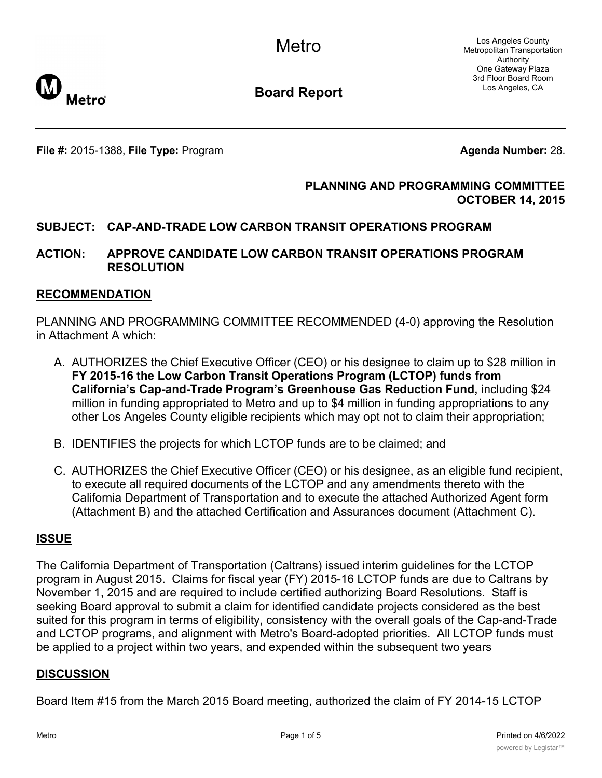

**Board Report**

**File #:** 2015-1388, **File Type:** Program **Agenda Number:** 28.

### **PLANNING AND PROGRAMMING COMMITTEE OCTOBER 14, 2015**

## **SUBJECT: CAP-AND-TRADE LOW CARBON TRANSIT OPERATIONS PROGRAM**

#### **ACTION: APPROVE CANDIDATE LOW CARBON TRANSIT OPERATIONS PROGRAM RESOLUTION**

#### **RECOMMENDATION**

PLANNING AND PROGRAMMING COMMITTEE RECOMMENDED (4-0) approving the Resolution in Attachment A which:

- A. AUTHORIZES the Chief Executive Officer (CEO) or his designee to claim up to \$28 million in **FY 2015-16 the Low Carbon Transit Operations Program (LCTOP) funds from California's Cap-and-Trade Program's Greenhouse Gas Reduction Fund,** including \$24 million in funding appropriated to Metro and up to \$4 million in funding appropriations to any other Los Angeles County eligible recipients which may opt not to claim their appropriation;
- B. IDENTIFIES the projects for which LCTOP funds are to be claimed; and
- C. AUTHORIZES the Chief Executive Officer (CEO) or his designee, as an eligible fund recipient, to execute all required documents of the LCTOP and any amendments thereto with the California Department of Transportation and to execute the attached Authorized Agent form (Attachment B) and the attached Certification and Assurances document (Attachment C).

#### **ISSUE**

The California Department of Transportation (Caltrans) issued interim guidelines for the LCTOP program in August 2015. Claims for fiscal year (FY) 2015-16 LCTOP funds are due to Caltrans by November 1, 2015 and are required to include certified authorizing Board Resolutions. Staff is seeking Board approval to submit a claim for identified candidate projects considered as the best suited for this program in terms of eligibility, consistency with the overall goals of the Cap-and-Trade and LCTOP programs, and alignment with Metro's Board-adopted priorities. All LCTOP funds must be applied to a project within two years, and expended within the subsequent two years

#### **DISCUSSION**

Board Item #15 from the March 2015 Board meeting, authorized the claim of FY 2014-15 LCTOP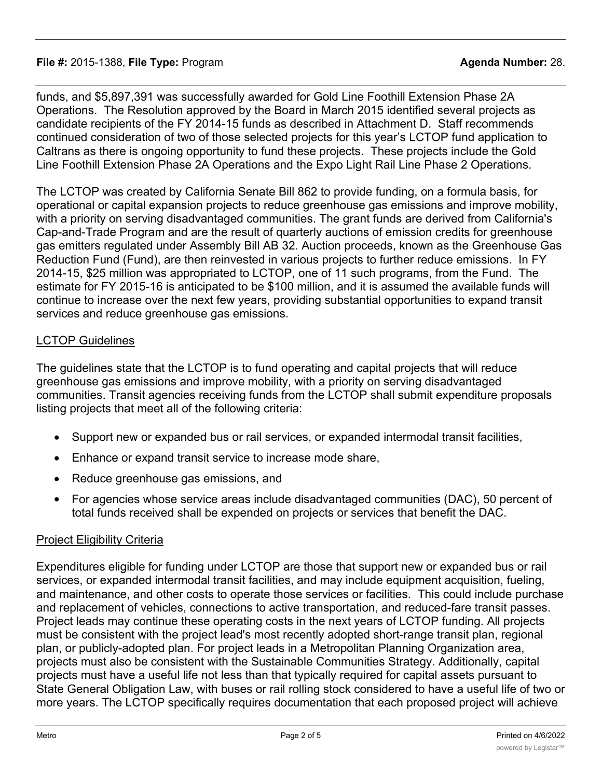### **File #:** 2015-1388, **File Type:** Program **Agenda Number:** 28.

funds, and \$5,897,391 was successfully awarded for Gold Line Foothill Extension Phase 2A Operations. The Resolution approved by the Board in March 2015 identified several projects as candidate recipients of the FY 2014-15 funds as described in Attachment D. Staff recommends continued consideration of two of those selected projects for this year's LCTOP fund application to Caltrans as there is ongoing opportunity to fund these projects. These projects include the Gold Line Foothill Extension Phase 2A Operations and the Expo Light Rail Line Phase 2 Operations.

The LCTOP was created by California Senate Bill 862 to provide funding, on a formula basis, for operational or capital expansion projects to reduce greenhouse gas emissions and improve mobility, with a priority on serving disadvantaged communities. The grant funds are derived from California's Cap-and-Trade Program and are the result of quarterly auctions of emission credits for greenhouse gas emitters regulated under Assembly Bill AB 32. Auction proceeds, known as the Greenhouse Gas Reduction Fund (Fund), are then reinvested in various projects to further reduce emissions. In FY 2014-15, \$25 million was appropriated to LCTOP, one of 11 such programs, from the Fund. The estimate for FY 2015-16 is anticipated to be \$100 million, and it is assumed the available funds will continue to increase over the next few years, providing substantial opportunities to expand transit services and reduce greenhouse gas emissions.

## LCTOP Guidelines

The guidelines state that the LCTOP is to fund operating and capital projects that will reduce greenhouse gas emissions and improve mobility, with a priority on serving disadvantaged communities. Transit agencies receiving funds from the LCTOP shall submit expenditure proposals listing projects that meet all of the following criteria:

- · Support new or expanded bus or rail services, or expanded intermodal transit facilities,
- Enhance or expand transit service to increase mode share,
- · Reduce greenhouse gas emissions, and
- · For agencies whose service areas include disadvantaged communities (DAC), 50 percent of total funds received shall be expended on projects or services that benefit the DAC.

#### Project Eligibility Criteria

Expenditures eligible for funding under LCTOP are those that support new or expanded bus or rail services, or expanded intermodal transit facilities, and may include equipment acquisition, fueling, and maintenance, and other costs to operate those services or facilities. This could include purchase and replacement of vehicles, connections to active transportation, and reduced-fare transit passes. Project leads may continue these operating costs in the next years of LCTOP funding. All projects must be consistent with the project lead's most recently adopted short-range transit plan, regional plan, or publicly-adopted plan. For project leads in a Metropolitan Planning Organization area, projects must also be consistent with the Sustainable Communities Strategy. Additionally, capital projects must have a useful life not less than that typically required for capital assets pursuant to State General Obligation Law, with buses or rail rolling stock considered to have a useful life of two or more years. The LCTOP specifically requires documentation that each proposed project will achieve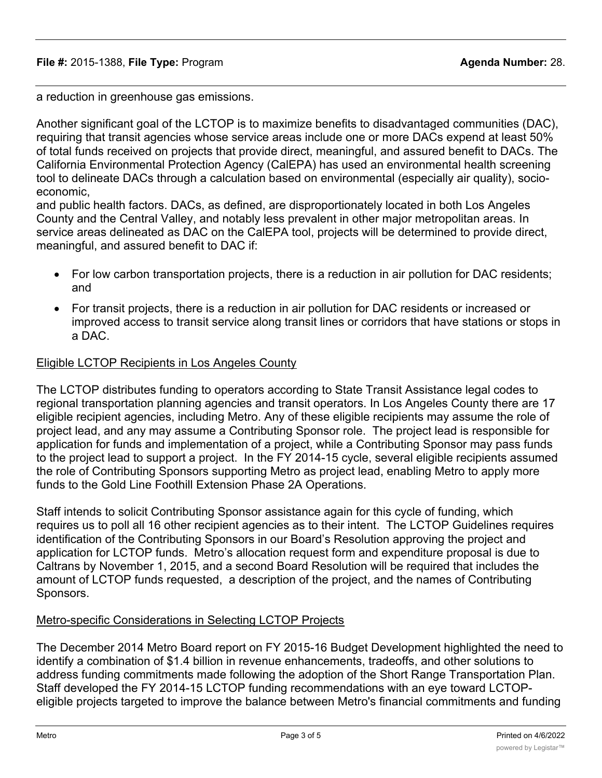a reduction in greenhouse gas emissions.

Another significant goal of the LCTOP is to maximize benefits to disadvantaged communities (DAC), requiring that transit agencies whose service areas include one or more DACs expend at least 50% of total funds received on projects that provide direct, meaningful, and assured benefit to DACs. The California Environmental Protection Agency (CalEPA) has used an environmental health screening tool to delineate DACs through a calculation based on environmental (especially air quality), socioeconomic,

and public health factors. DACs, as defined, are disproportionately located in both Los Angeles County and the Central Valley, and notably less prevalent in other major metropolitan areas. In service areas delineated as DAC on the CalEPA tool, projects will be determined to provide direct, meaningful, and assured benefit to DAC if:

- For low carbon transportation projects, there is a reduction in air pollution for DAC residents; and
- · For transit projects, there is a reduction in air pollution for DAC residents or increased or improved access to transit service along transit lines or corridors that have stations or stops in a DAC.

#### Eligible LCTOP Recipients in Los Angeles County

The LCTOP distributes funding to operators according to State Transit Assistance legal codes to regional transportation planning agencies and transit operators. In Los Angeles County there are 17 eligible recipient agencies, including Metro. Any of these eligible recipients may assume the role of project lead, and any may assume a Contributing Sponsor role. The project lead is responsible for application for funds and implementation of a project, while a Contributing Sponsor may pass funds to the project lead to support a project. In the FY 2014-15 cycle, several eligible recipients assumed the role of Contributing Sponsors supporting Metro as project lead, enabling Metro to apply more funds to the Gold Line Foothill Extension Phase 2A Operations.

Staff intends to solicit Contributing Sponsor assistance again for this cycle of funding, which requires us to poll all 16 other recipient agencies as to their intent. The LCTOP Guidelines requires identification of the Contributing Sponsors in our Board's Resolution approving the project and application for LCTOP funds. Metro's allocation request form and expenditure proposal is due to Caltrans by November 1, 2015, and a second Board Resolution will be required that includes the amount of LCTOP funds requested, a description of the project, and the names of Contributing Sponsors.

#### Metro-specific Considerations in Selecting LCTOP Projects

The December 2014 Metro Board report on FY 2015-16 Budget Development highlighted the need to identify a combination of \$1.4 billion in revenue enhancements, tradeoffs, and other solutions to address funding commitments made following the adoption of the Short Range Transportation Plan. Staff developed the FY 2014-15 LCTOP funding recommendations with an eye toward LCTOPeligible projects targeted to improve the balance between Metro's financial commitments and funding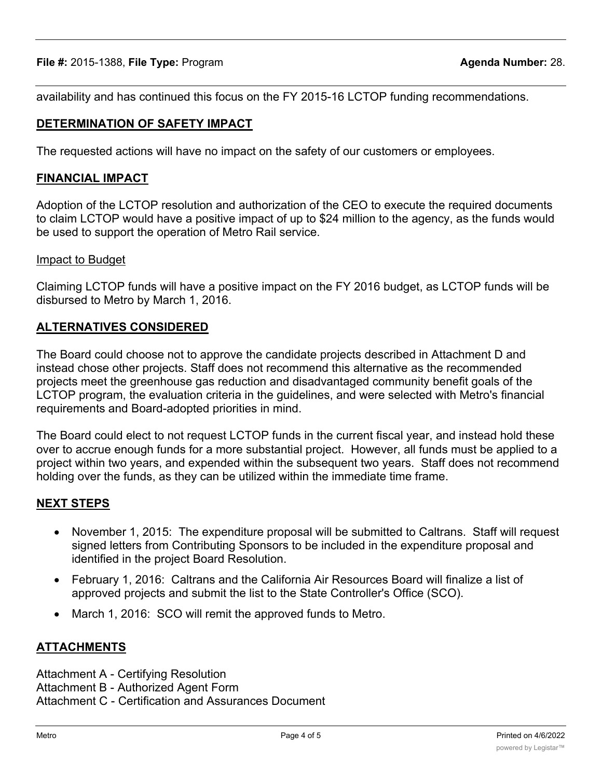availability and has continued this focus on the FY 2015-16 LCTOP funding recommendations.

# **DETERMINATION OF SAFETY IMPACT**

The requested actions will have no impact on the safety of our customers or employees.

## **FINANCIAL IMPACT**

Adoption of the LCTOP resolution and authorization of the CEO to execute the required documents to claim LCTOP would have a positive impact of up to \$24 million to the agency, as the funds would be used to support the operation of Metro Rail service.

#### Impact to Budget

Claiming LCTOP funds will have a positive impact on the FY 2016 budget, as LCTOP funds will be disbursed to Metro by March 1, 2016.

#### **ALTERNATIVES CONSIDERED**

The Board could choose not to approve the candidate projects described in Attachment D and instead chose other projects. Staff does not recommend this alternative as the recommended projects meet the greenhouse gas reduction and disadvantaged community benefit goals of the LCTOP program, the evaluation criteria in the guidelines, and were selected with Metro's financial requirements and Board-adopted priorities in mind.

The Board could elect to not request LCTOP funds in the current fiscal year, and instead hold these over to accrue enough funds for a more substantial project. However, all funds must be applied to a project within two years, and expended within the subsequent two years. Staff does not recommend holding over the funds, as they can be utilized within the immediate time frame.

#### **NEXT STEPS**

- · November 1, 2015: The expenditure proposal will be submitted to Caltrans. Staff will request signed letters from Contributing Sponsors to be included in the expenditure proposal and identified in the project Board Resolution.
- · February 1, 2016: Caltrans and the California Air Resources Board will finalize a list of approved projects and submit the list to the State Controller's Office (SCO).
- March 1, 2016: SCO will remit the approved funds to Metro.

#### **ATTACHMENTS**

Attachment A - Certifying Resolution Attachment B - Authorized Agent Form Attachment C - Certification and Assurances Document